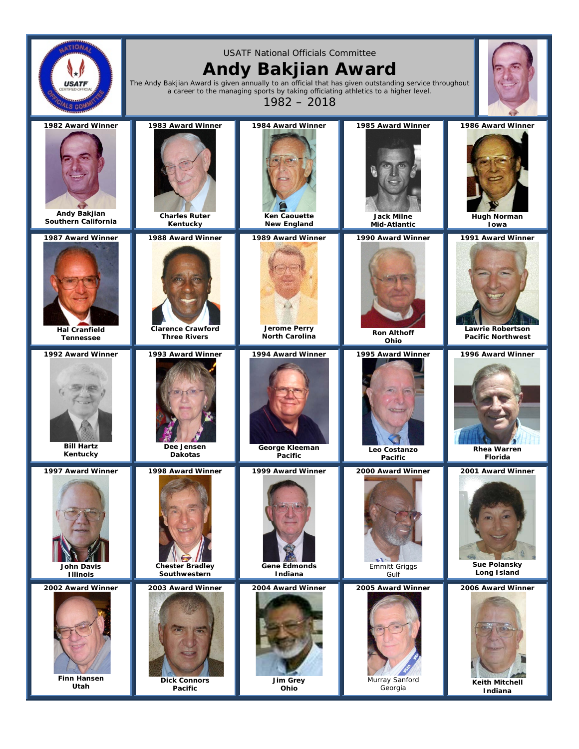